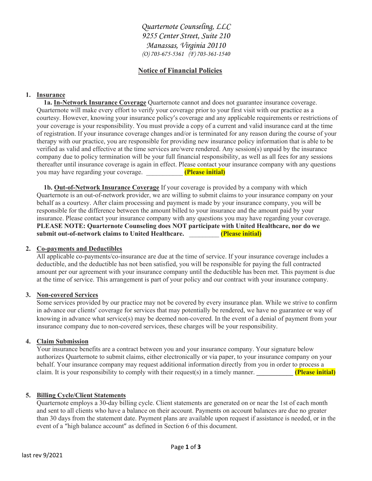*Quarternote Counseling, LLC 9255 Center Street, Suite 210 Manassas, Virginia 20110 (O) 703-675-5361 (F) 703-361-1540*

# **Notice of Financial Policies**

## **1. Insurance**

**1a. In-Network Insurance Coverage** Quarternote cannot and does not guarantee insurance coverage. Quarternote will make every effort to verify your coverage prior to your first visit with our practice as a courtesy. However, knowing your insurance policy's coverage and any applicable requirements or restrictions of your coverage is your responsibility. You must provide a copy of a current and valid insurance card at the time of registration. If your insurance coverage changes and/or is terminated for any reason during the course of your therapy with our practice, you are responsible for providing new insurance policy information that is able to be verified as valid and effective at the time services are/were rendered. Any session(s) unpaid by the insurance company due to policy termination will be your full financial responsibility, as well as all fees for any sessions thereafter until insurance coverage is again in effect. Please contact your insurance company with any questions you may have regarding your coverage. \_\_\_\_\_\_\_\_\_\_\_ **(Please initial)**

**1b. Out-of-Network Insurance Coverage** If your coverage is provided by a company with which Quarternote is an out-of-network provider, we are willing to submit claims to your insurance company on your behalf as a courtesy. After claim processing and payment is made by your insurance company, you will be responsible for the difference between the amount billed to your insurance and the amount paid by your insurance. Please contact your insurance company with any questions you may have regarding your coverage. **PLEASE NOTE: Quarternote Counseling does NOT participate with United Healthcare, nor do we submit out-of-network claims to United Healthcare. (Please initial)** 

### **2. Co-payments and Deductibles**

All applicable co-payments/co-insurance are due at the time of service. If your insurance coverage includes a deductible, and the deductible has not been satisfied, you will be responsible for paying the full contracted amount per our agreement with your insurance company until the deductible has been met. This payment is due at the time of service. This arrangement is part of your policy and our contract with your insurance company.

### **3. Non-covered Services**

Some services provided by our practice may not be covered by every insurance plan. While we strive to confirm in advance our clients' coverage for services that may potentially be rendered, we have no guarantee or way of knowing in advance what service(s) may be deemed non-covered. In the event of a denial of payment from your insurance company due to non-covered services, these charges will be your responsibility.

### **4. Claim Submission**

Your insurance benefits are a contract between you and your insurance company. Your signature below authorizes Quarternote to submit claims, either electronically or via paper, to your insurance company on your behalf. Your insurance company may request additional information directly from you in order to process a claim. It is your responsibility to comply with their request(s) in a timely manner.  $(Please initial)$ 

### **5. Billing Cycle/Client Statements**

Quarternote employs a 30-day billing cycle. Client statements are generated on or near the 1st of each month and sent to all clients who have a balance on their account. Payments on account balances are due no greater than 30 days from the statement date. Payment plans are available upon request if assistance is needed, or in the event of a "high balance account" as defined in Section 6 of this document.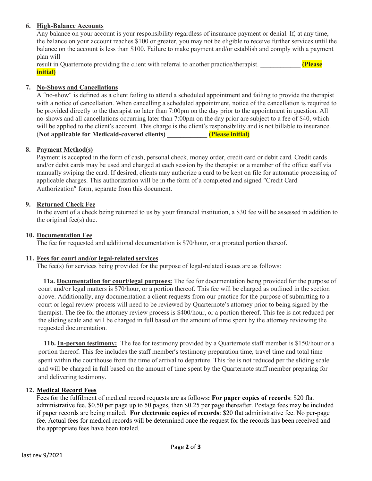# **6. High-Balance Accounts**

Any balance on your account is your responsibility regardless of insurance payment or denial. If, at any time, the balance on your account reaches \$100 or greater, you may not be eligible to receive further services until the balance on the account is less than \$100. Failure to make payment and/or establish and comply with a payment plan will

result in Quarternote providing the client with referral to another practice/therapist. **(Please initial)**

# **7. No-Shows and Cancellations**

A "no-show" is defined as a client failing to attend a scheduled appointment and failing to provide the therapist with a notice of cancellation. When cancelling a scheduled appointment, notice of the cancellation is required to be provided directly to the therapist no later than 7:00pm on the day prior to the appointment in question. All no-shows and all cancellations occurring later than 7:00pm on the day prior are subject to a fee of \$40, which will be applied to the client's account. This charge is the client's responsibility and is not billable to insurance. (**Not applicable for Medicaid-covered clients) \_\_\_\_\_\_\_\_\_\_\_\_ (Please initial)**

## **8. Payment Method(s)**

Payment is accepted in the form of cash, personal check, money order, credit card or debit card. Credit cards and/or debit cards may be used and charged at each session by the therapist or a member of the office staff via manually swiping the card. If desired, clients may authorize a card to be kept on file for automatic processing of applicable charges. This authorization will be in the form of a completed and signed "Credit Card Authorization" form, separate from this document.

## **9. Returned Check Fee**

In the event of a check being returned to us by your financial institution, a \$30 fee will be assessed in addition to the original fee(s) due.

### **10. Documentation Fee**

The fee for requested and additional documentation is \$70/hour, or a prorated portion thereof.

### **11. Fees for court and/or legal-related services**

The fee(s) for services being provided for the purpose of legal-related issues are as follows:

 **11a. Documentation for court/legal purposes:** The fee for documentation being provided for the purpose of court and/or legal matters is \$70/hour, or a portion thereof. This fee will be charged as outlined in the section above. Additionally, any documentation a client requests from our practice for the purpose of submitting to a court or legal review process will need to be reviewed by Quarternote's attorney prior to being signed by the therapist. The fee for the attorney review process is \$400/hour, or a portion thereof. This fee is not reduced per the sliding scale and will be charged in full based on the amount of time spent by the attorney reviewing the requested documentation.

**11b. In-person testimony:** The fee for testimony provided by a Quarternote staff member is \$150/hour or a portion thereof. This fee includes the staff member's testimony preparation time, travel time and total time spent within the courthouse from the time of arrival to departure. This fee is not reduced per the sliding scale and will be charged in full based on the amount of time spent by the Quarternote staff member preparing for and delivering testimony.

### **12. Medical Record Fees**

Fees for the fulfilment of medical record requests are as follows**: For paper copies of records**: \$20 flat administrative fee. \$0.50 per page up to 50 pages, then \$0.25 per page thereafter. Postage fees may be included if paper records are being mailed. **For electronic copies of records**: \$20 flat administrative fee. No per-page fee. Actual fees for medical records will be determined once the request for the records has been received and the appropriate fees have been totaled.